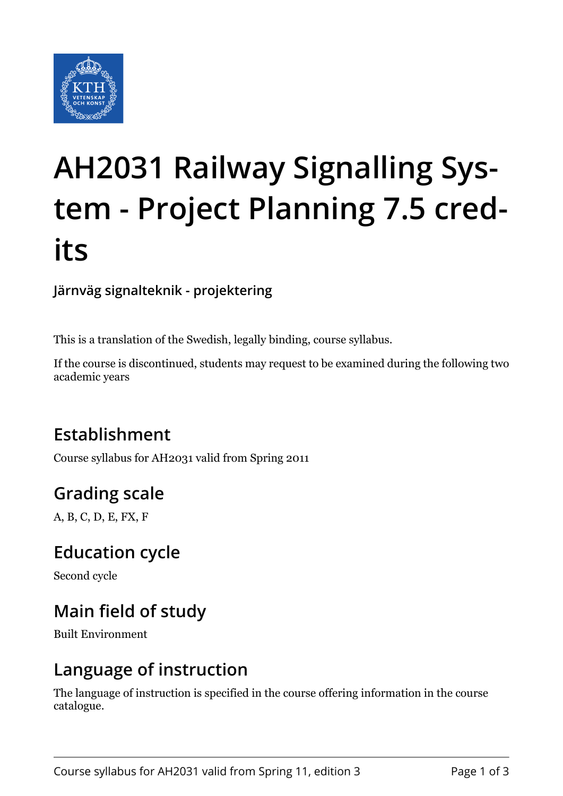

# **AH2031 Railway Signalling System - Project Planning 7.5 credits**

**Järnväg signalteknik - projektering**

This is a translation of the Swedish, legally binding, course syllabus.

If the course is discontinued, students may request to be examined during the following two academic years

# **Establishment**

Course syllabus for AH2031 valid from Spring 2011

# **Grading scale**

A, B, C, D, E, FX, F

#### **Education cycle**

Second cycle

# **Main field of study**

Built Environment

#### **Language of instruction**

The language of instruction is specified in the course offering information in the course catalogue.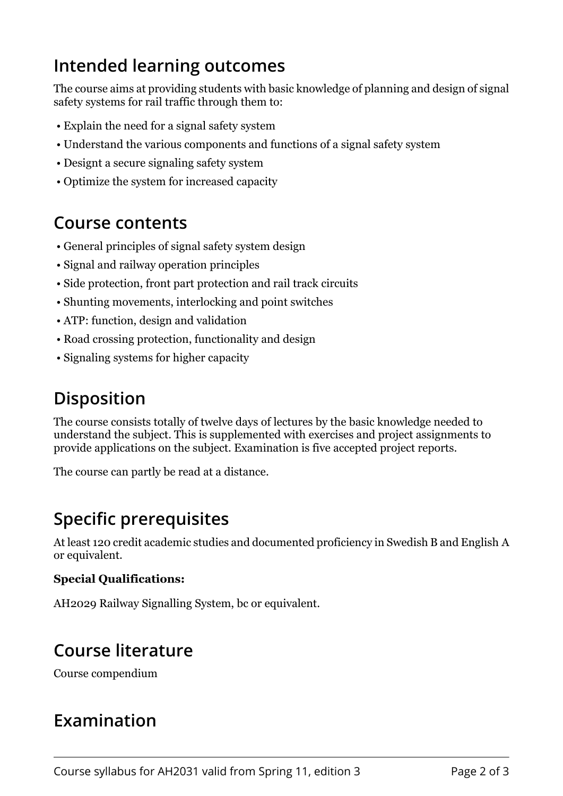## **Intended learning outcomes**

The course aims at providing students with basic knowledge of planning and design of signal safety systems for rail traffic through them to:

- Explain the need for a signal safety system
- Understand the various components and functions of a signal safety system
- Designt a secure signaling safety system
- Optimize the system for increased capacity

#### **Course contents**

- General principles of signal safety system design
- Signal and railway operation principles
- Side protection, front part protection and rail track circuits
- Shunting movements, interlocking and point switches
- ATP: function, design and validation
- Road crossing protection, functionality and design
- Signaling systems for higher capacity

#### **Disposition**

The course consists totally of twelve days of lectures by the basic knowledge needed to understand the subject. This is supplemented with exercises and project assignments to provide applications on the subject. Examination is five accepted project reports.

The course can partly be read at a distance.

### **Specific prerequisites**

At least 120 credit academic studies and documented proficiency in Swedish B and English A or equivalent.

#### **Special Qualifications:**

AH2029 Railway Signalling System, bc or equivalent.

### **Course literature**

Course compendium

#### **Examination**